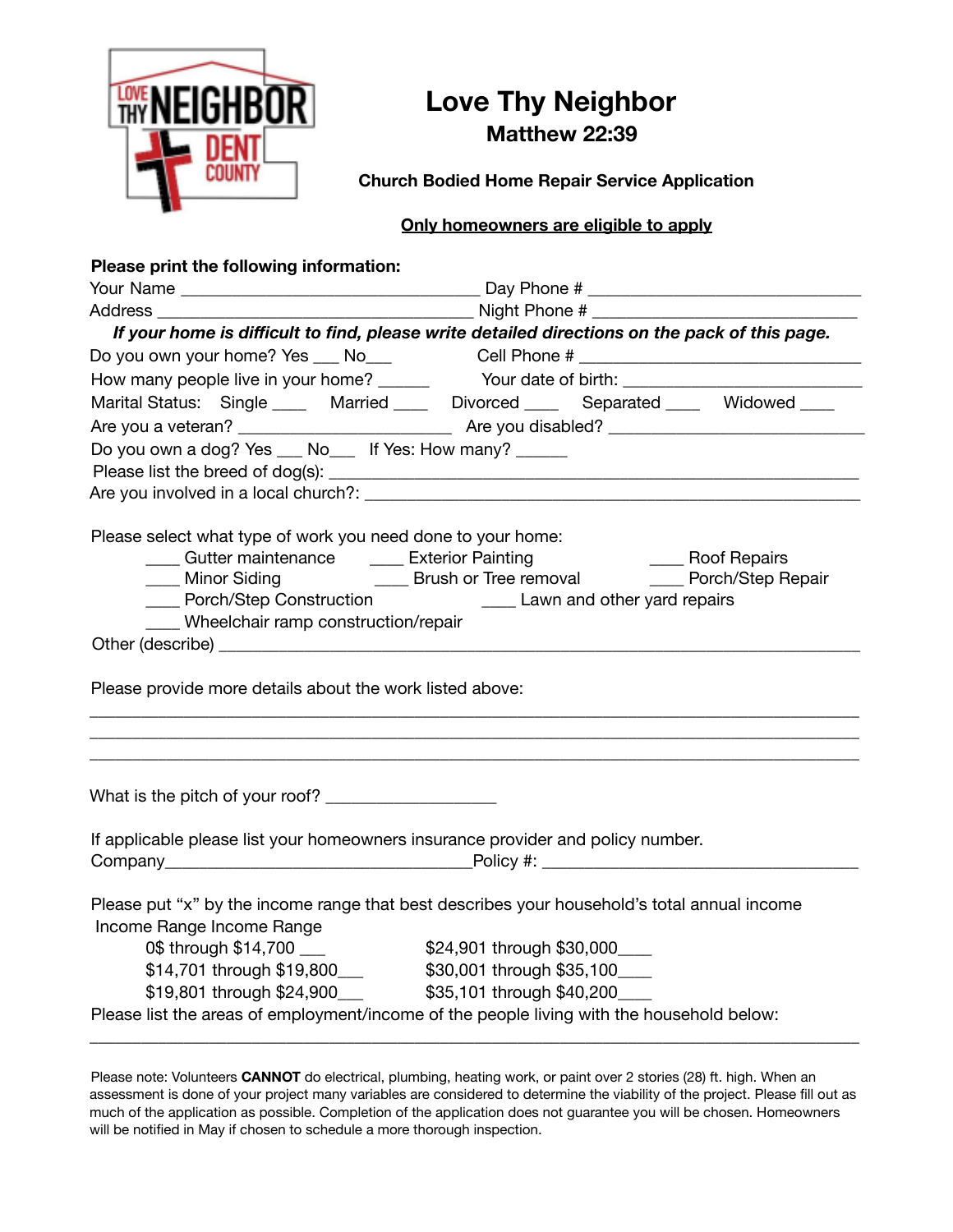

## **Love Thy Neighbor Matthew 22:39**

**Church Bodied Home Repair Service Application**

#### **Only homeowners are eligible to apply**

| Please print the following information:                                                                                                |                                                                                                                                                                                                                                       |
|----------------------------------------------------------------------------------------------------------------------------------------|---------------------------------------------------------------------------------------------------------------------------------------------------------------------------------------------------------------------------------------|
|                                                                                                                                        |                                                                                                                                                                                                                                       |
|                                                                                                                                        |                                                                                                                                                                                                                                       |
|                                                                                                                                        | If your home is difficult to find, please write detailed directions on the pack of this page.                                                                                                                                         |
|                                                                                                                                        | Do you own your home? Yes ___ No___ Cell Phone # _______________________________                                                                                                                                                      |
|                                                                                                                                        |                                                                                                                                                                                                                                       |
|                                                                                                                                        | Marital Status: Single ____ Married ____ Divorced ____ Separated ____ Widowed ___                                                                                                                                                     |
|                                                                                                                                        |                                                                                                                                                                                                                                       |
| Do you own a dog? Yes __ No__ If Yes: How many? _____                                                                                  |                                                                                                                                                                                                                                       |
|                                                                                                                                        |                                                                                                                                                                                                                                       |
|                                                                                                                                        |                                                                                                                                                                                                                                       |
| Please select what type of work you need done to your home:<br>____ Porch/Step Construction<br>___ Wheelchair ramp construction/repair | _____ Gutter maintenance _______ Exterior Painting ______________________________ Roof Repairs<br>_____ Minor Siding ______________________Brush or Tree removal _______________Porch/Step Repair<br>____ Lawn and other yard repairs |
|                                                                                                                                        |                                                                                                                                                                                                                                       |
|                                                                                                                                        |                                                                                                                                                                                                                                       |
| Please provide more details about the work listed above:                                                                               |                                                                                                                                                                                                                                       |
| What is the pitch of your roof? _______________________                                                                                |                                                                                                                                                                                                                                       |
|                                                                                                                                        | If applicable please list your homeowners insurance provider and policy number.                                                                                                                                                       |
|                                                                                                                                        |                                                                                                                                                                                                                                       |
| Income Range Income Range                                                                                                              | Please put "x" by the income range that best describes your household's total annual income                                                                                                                                           |
| 0\$ through \$14,700 ___                                                                                                               | \$24,901 through \$30,000____                                                                                                                                                                                                         |
|                                                                                                                                        |                                                                                                                                                                                                                                       |
|                                                                                                                                        |                                                                                                                                                                                                                                       |
|                                                                                                                                        | Please list the areas of employment/income of the people living with the household below:                                                                                                                                             |
|                                                                                                                                        |                                                                                                                                                                                                                                       |

Please note: Volunteers **CANNOT** do electrical, plumbing, heating work, or paint over 2 stories (28) ft. high. When an assessment is done of your project many variables are considered to determine the viability of the project. Please fill out as much of the application as possible. Completion of the application does not guarantee you will be chosen. Homeowners will be notified in May if chosen to schedule a more thorough inspection.